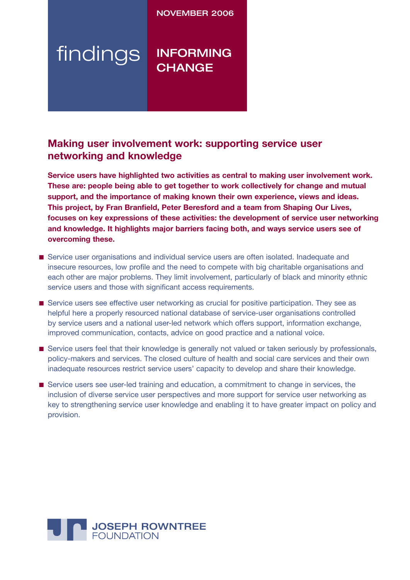## NOVEMBER 2006

# findings INFORMING **CHANGE**

## **Making user involvement work: supporting service user networking and knowledge**

**Service users have highlighted two activities as central to making user involvement work. These are: people being able to get together to work collectively for change and mutual support, and the importance of making known their own experience, views and ideas. This project, by Fran Branfield, Peter Beresford and a team from Shaping Our Lives, focuses on key expressions of these activities: the development of service user networking and knowledge. It highlights major barriers facing both, and ways service users see of overcoming these.**

- Service user organisations and individual service users are often isolated. Inadequate and insecure resources, low profile and the need to compete with big charitable organisations and each other are major problems. They limit involvement, particularly of black and minority ethnic service users and those with significant access requirements.
- Service users see effective user networking as crucial for positive participation. They see as helpful here a properly resourced national database of service-user organisations controlled by service users and a national user-led network which offers support, information exchange, improved communication, contacts, advice on good practice and a national voice.
- Service users feel that their knowledge is generally not valued or taken seriously by professionals, policy-makers and services. The closed culture of health and social care services and their own inadequate resources restrict service users' capacity to develop and share their knowledge.
- Service users see user-led training and education, a commitment to change in services, the inclusion of diverse service user perspectives and more support for service user networking as key to strengthening service user knowledge and enabling it to have greater impact on policy and provision.

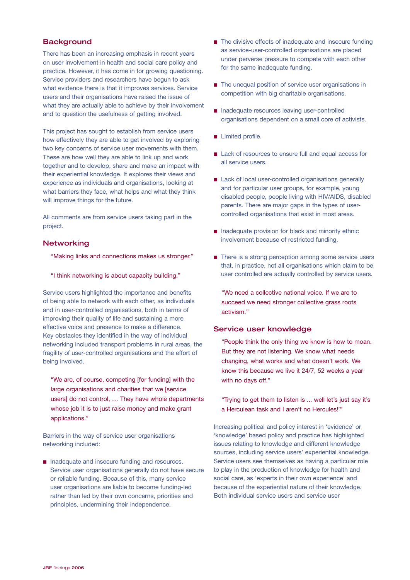## **Background**

There has been an increasing emphasis in recent years on user involvement in health and social care policy and practice. However, it has come in for growing questioning. Service providers and researchers have begun to ask what evidence there is that it improves services. Service users and their organisations have raised the issue of what they are actually able to achieve by their involvement and to question the usefulness of getting involved.

This project has sought to establish from service users how effectively they are able to get involved by exploring two key concerns of service user movements with them. These are how well they are able to link up and work together and to develop, share and make an impact with their experiential knowledge. It explores their views and experience as individuals and organisations, looking at what barriers they face, what helps and what they think will improve things for the future.

All comments are from service users taking part in the project.

#### **Networking**

"Making links and connections makes us stronger."

"I think networking is about capacity building."

Service users highlighted the importance and benefits of being able to network with each other, as individuals and in user-controlled organisations, both in terms of improving their quality of life and sustaining a more effective voice and presence to make a difference. Key obstacles they identified in the way of individual networking included transport problems in rural areas, the fragility of user-controlled organisations and the effort of being involved.

"We are, of course, competing [for funding] with the large organisations and charities that we [service users] do not control, … They have whole departments whose job it is to just raise money and make grant applications."

Barriers in the way of service user organisations networking included:

■ Inadequate and insecure funding and resources. Service user organisations generally do not have secure or reliable funding. Because of this, many service user organisations are liable to become funding-led rather than led by their own concerns, priorities and principles, undermining their independence.

- The divisive effects of inadequate and insecure funding as service-user-controlled organisations are placed under perverse pressure to compete with each other for the same inadequate funding.
- The unequal position of service user organisations in competition with big charitable organisations.
- Inadequate resources leaving user-controlled organisations dependent on a small core of activists.
- Limited profile.
- Lack of resources to ensure full and equal access for all service users.
- Lack of local user-controlled organisations generally and for particular user groups, for example, young disabled people, people living with HIV/AIDS, disabled parents. There are major gaps in the types of usercontrolled organisations that exist in most areas.
- Inadequate provision for black and minority ethnic involvement because of restricted funding.
- There is a strong perception among some service users that, in practice, not all organisations which claim to be user controlled are actually controlled by service users.

"We need a collective national voice. If we are to succeed we need stronger collective grass roots activism."

#### Service user knowledge

"People think the only thing we know is how to moan. But they are not listening. We know what needs changing, what works and what doesn't work. We know this because we live it 24/7, 52 weeks a year with no days off."

"Trying to get them to listen is ... well let's just say it's a Herculean task and I aren't no Hercules!'"

Increasing political and policy interest in 'evidence' or 'knowledge' based policy and practice has highlighted issues relating to knowledge and different knowledge sources, including service users' experiential knowledge. Service users see themselves as having a particular role to play in the production of knowledge for health and social care, as 'experts in their own experience' and because of the experiential nature of their knowledge. Both individual service users and service user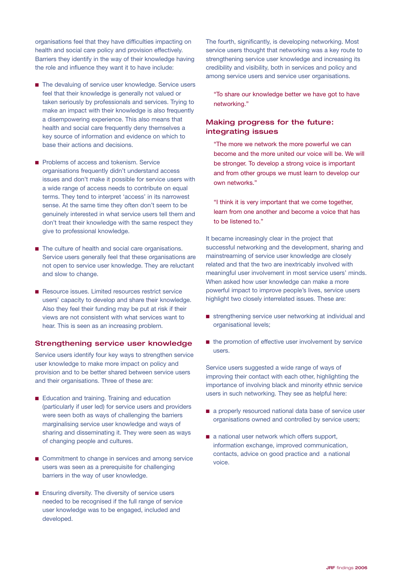organisations feel that they have difficulties impacting on health and social care policy and provision effectively. Barriers they identify in the way of their knowledge having the role and influence they want it to have include:

- The devaluing of service user knowledge. Service users feel that their knowledge is generally not valued or taken seriously by professionals and services. Trying to make an impact with their knowledge is also frequently a disempowering experience. This also means that health and social care frequently deny themselves a key source of information and evidence on which to base their actions and decisions.
- Problems of access and tokenism. Service organisations frequently didn't understand access issues and don't make it possible for service users with a wide range of access needs to contribute on equal terms. They tend to interpret 'access' in its narrowest sense. At the same time they often don't seem to be genuinely interested in what service users tell them and don't treat their knowledge with the same respect they give to professional knowledge.
- The culture of health and social care organisations. Service users generally feel that these organisations are not open to service user knowledge. They are reluctant and slow to change.
- Resource issues. Limited resources restrict service users' capacity to develop and share their knowledge. Also they feel their funding may be put at risk if their views are not consistent with what services want to hear. This is seen as an increasing problem.

#### Strengthening service user knowledge

Service users identify four key ways to strengthen service user knowledge to make more impact on policy and provision and to be better shared between service users and their organisations. Three of these are:

- Education and training. Training and education (particularly if user led) for service users and providers were seen both as ways of challenging the barriers marginalising service user knowledge and ways of sharing and disseminating it. They were seen as ways of changing people and cultures.
- Commitment to change in services and among service users was seen as a prerequisite for challenging barriers in the way of user knowledge.
- Ensuring diversity. The diversity of service users needed to be recognised if the full range of service user knowledge was to be engaged, included and developed.

The fourth, significantly, is developing networking. Most service users thought that networking was a key route to strengthening service user knowledge and increasing its credibility and visibility, both in services and policy and among service users and service user organisations.

"To share our knowledge better we have got to have networking."

## Making progress for the future: integrating issues

"The more we network the more powerful we can become and the more united our voice will be. We will be stronger. To develop a strong voice is important and from other groups we must learn to develop our own networks."

"I think it is very important that we come together, learn from one another and become a voice that has to be listened to."

It became increasingly clear in the project that successful networking and the development, sharing and mainstreaming of service user knowledge are closely related and that the two are inextricably involved with meaningful user involvement in most service users' minds. When asked how user knowledge can make a more powerful impact to improve people's lives, service users highlight two closely interrelated issues. These are:

- strengthening service user networking at individual and organisational levels;
- the promotion of effective user involvement by service users.

Service users suggested a wide range of ways of improving their contact with each other, highlighting the importance of involving black and minority ethnic service users in such networking. They see as helpful here:

- a properly resourced national data base of service user organisations owned and controlled by service users;
- a national user network which offers support, information exchange, improved communication, contacts, advice on good practice and a national voice.